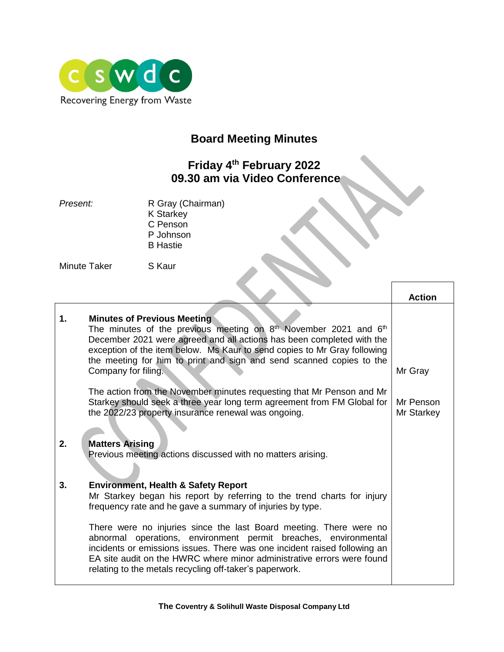

# **Board Meeting Minutes**

## **Friday 4 th February 2022 09.30 am via Video Conference**

**Present:** R Gray (Chairman) K Starkey C Penson P Johnson B Hastie

Minute Taker S Kaur

|    |                                                                                                                                                                                                                                                                                                                                                                | <b>Action</b>           |
|----|----------------------------------------------------------------------------------------------------------------------------------------------------------------------------------------------------------------------------------------------------------------------------------------------------------------------------------------------------------------|-------------------------|
| 1. | <b>Minutes of Previous Meeting</b><br>The minutes of the previous meeting on $8th$ November 2021 and $6th$<br>December 2021 were agreed and all actions has been completed with the<br>exception of the item below. Ms Kaur to send copies to Mr Gray following<br>the meeting for him to print and sign and send scanned copies to the<br>Company for filing. | Mr Gray                 |
|    | The action from the November minutes requesting that Mr Penson and Mr<br>Starkey should seek a three year long term agreement from FM Global for<br>the 2022/23 property insurance renewal was ongoing.                                                                                                                                                        | Mr Penson<br>Mr Starkey |
| 2. | <b>Matters Arising</b><br>Previous meeting actions discussed with no matters arising.                                                                                                                                                                                                                                                                          |                         |
| 3. | <b>Environment, Health &amp; Safety Report</b><br>Mr Starkey began his report by referring to the trend charts for injury<br>frequency rate and he gave a summary of injuries by type.                                                                                                                                                                         |                         |
|    | There were no injuries since the last Board meeting. There were no<br>abnormal operations, environment permit breaches, environmental<br>incidents or emissions issues. There was one incident raised following an<br>EA site audit on the HWRC where minor administrative errors were found<br>relating to the metals recycling off-taker's paperwork.        |                         |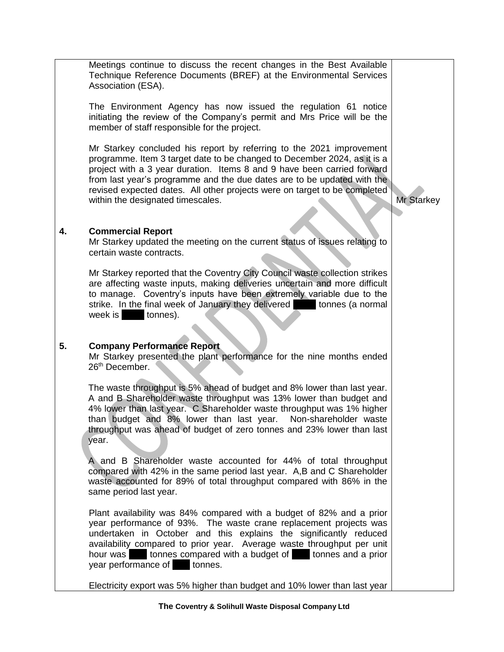Meetings continue to discuss the recent changes in the Best Available Technique Reference Documents (BREF) at the Environmental Services Association (ESA).

The Environment Agency has now issued the regulation 61 notice initiating the review of the Company's permit and Mrs Price will be the member of staff responsible for the project.

Mr Starkey concluded his report by referring to the 2021 improvement programme. Item 3 target date to be changed to December 2024, as it is a project with a 3 year duration. Items 8 and 9 have been carried forward from last year's programme and the due dates are to be updated with the revised expected dates. All other projects were on target to be completed within the designated timescales.

Mr Starkey

### **4. Commercial Report**

Mr Starkey updated the meeting on the current status of issues relating to certain waste contracts.

Mr Starkey reported that the Coventry City Council waste collection strikes are affecting waste inputs, making deliveries uncertain and more difficult to manage. Coventry's inputs have been extremely variable due to the strike. In the final week of January they delivered **2001** tonnes (a normal week is  $\qquad$  tonnes).

### **5. Company Performance Report**

Mr Starkey presented the plant performance for the nine months ended 26<sup>th</sup> December.

The waste throughput is 5% ahead of budget and 8% lower than last year. A and B Shareholder waste throughput was 13% lower than budget and 4% lower than last year. C Shareholder waste throughput was 1% higher than budget and 8% lower than last year. Non-shareholder waste throughput was ahead of budget of zero tonnes and 23% lower than last year.

A and B Shareholder waste accounted for 44% of total throughput compared with 42% in the same period last year. A,B and C Shareholder waste accounted for 89% of total throughput compared with 86% in the same period last year.

Plant availability was 84% compared with a budget of 82% and a prior year performance of 93%. The waste crane replacement projects was undertaken in October and this explains the significantly reduced availability compared to prior year. Average waste throughput per unit hour was 13.1 tonnes compared with a budget of 13.1 tonnes and a prior year performance of tonnes.

Electricity export was 5% higher than budget and 10% lower than last year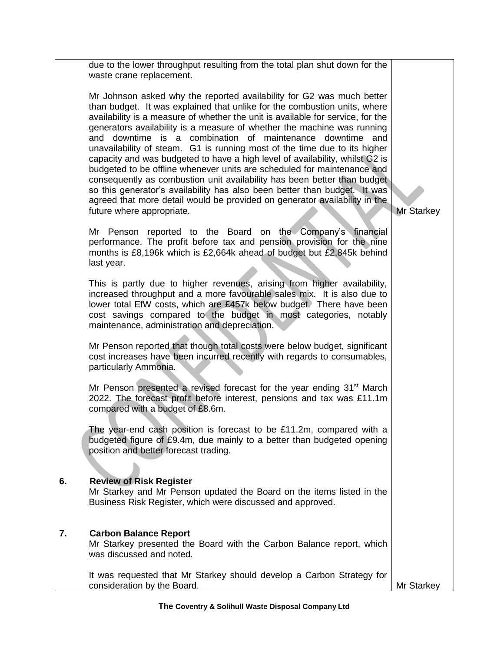|    | due to the lower throughput resulting from the total plan shut down for the<br>waste crane replacement.                                                                                                                                                                                                                                                                                                                                                                                                                                                                                                                                                                                                                                                                                                                                                                                   |                   |
|----|-------------------------------------------------------------------------------------------------------------------------------------------------------------------------------------------------------------------------------------------------------------------------------------------------------------------------------------------------------------------------------------------------------------------------------------------------------------------------------------------------------------------------------------------------------------------------------------------------------------------------------------------------------------------------------------------------------------------------------------------------------------------------------------------------------------------------------------------------------------------------------------------|-------------------|
|    | Mr Johnson asked why the reported availability for G2 was much better<br>than budget. It was explained that unlike for the combustion units, where<br>availability is a measure of whether the unit is available for service, for the<br>generators availability is a measure of whether the machine was running<br>and downtime is a combination of maintenance downtime and<br>unavailability of steam. G1 is running most of the time due to its higher<br>capacity and was budgeted to have a high level of availability, whilst G2 is<br>budgeted to be offline whenever units are scheduled for maintenance and<br>consequently as combustion unit availability has been better than budget<br>so this generator's availability has also been better than budget. It was<br>agreed that more detail would be provided on generator availability in the<br>future where appropriate. | <b>Mr Starkey</b> |
|    | Mr Penson reported to the Board on the Company's financial<br>performance. The profit before tax and pension provision for the nine<br>months is £8,196k which is £2,664k ahead of budget but £2,845k behind<br>last year.                                                                                                                                                                                                                                                                                                                                                                                                                                                                                                                                                                                                                                                                |                   |
|    | This is partly due to higher revenues, arising from higher availability,<br>increased throughput and a more favourable sales mix. It is also due to<br>lower total EfW costs, which are £457k below budget. There have been<br>cost savings compared to the budget in most categories, notably<br>maintenance, administration and depreciation.                                                                                                                                                                                                                                                                                                                                                                                                                                                                                                                                           |                   |
|    | Mr Penson reported that though total costs were below budget, significant<br>cost increases have been incurred recently with regards to consumables,<br>particularly Ammonia.                                                                                                                                                                                                                                                                                                                                                                                                                                                                                                                                                                                                                                                                                                             |                   |
|    | Mr Penson presented a revised forecast for the year ending 31 <sup>st</sup> March<br>2022. The forecast profit before interest, pensions and tax was £11.1m<br>compared with a budget of £8.6m.                                                                                                                                                                                                                                                                                                                                                                                                                                                                                                                                                                                                                                                                                           |                   |
|    | The year-end cash position is forecast to be £11.2m, compared with a<br>budgeted figure of £9.4m, due mainly to a better than budgeted opening<br>position and better forecast trading.                                                                                                                                                                                                                                                                                                                                                                                                                                                                                                                                                                                                                                                                                                   |                   |
| 6. | <b>Review of Risk Register</b><br>Mr Starkey and Mr Penson updated the Board on the items listed in the<br>Business Risk Register, which were discussed and approved.                                                                                                                                                                                                                                                                                                                                                                                                                                                                                                                                                                                                                                                                                                                     |                   |
| 7. | <b>Carbon Balance Report</b><br>Mr Starkey presented the Board with the Carbon Balance report, which<br>was discussed and noted.                                                                                                                                                                                                                                                                                                                                                                                                                                                                                                                                                                                                                                                                                                                                                          |                   |
|    | It was requested that Mr Starkey should develop a Carbon Strategy for<br>consideration by the Board.                                                                                                                                                                                                                                                                                                                                                                                                                                                                                                                                                                                                                                                                                                                                                                                      | Mr Starkey        |